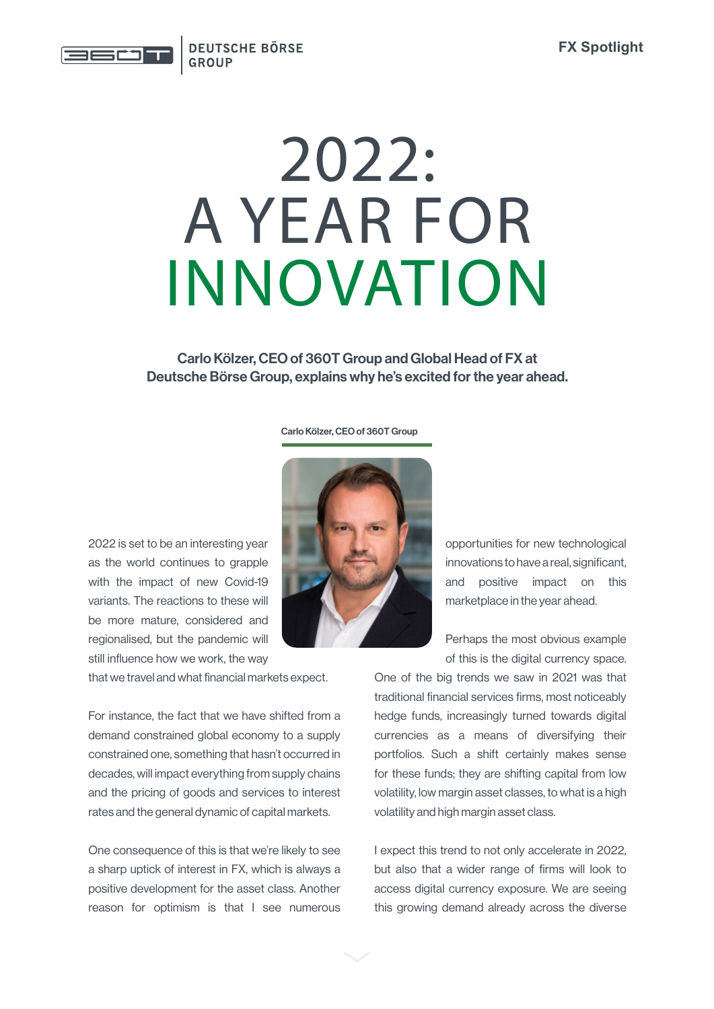

## $2022:$ A YEAR FOR INNOVATION

Carlo Kölzer, CEO of 360T Group and Global Head of FX at Deutsche Börse Group, explains why he's excited for the year ahead.

## Carlo Kölzer, CEO of 360T Group



that we travel and what financial markets expect.

For instance, the fact that we have shifted from a demand constrained global economy to a supply constrained one, something that hasn't occurred in decades, will impact everything from supply chains and the pricing of goods and services to interest rates and the general dynamic of capital markets.

One consequence of this is that we're likely to see a sharp uptick of interest in FX, which is always a positive development for the asset class. Another reason for optimism is that I see numerous



opportunities for new technological innovations to have a real, significant, and positive impact on this marketplace in the year ahead.

Perhaps the most obvious example of this is the digital currency space.

One of the big trends we saw in 2021 was that traditional financial services firms, most noticeably hedge funds, increasingly turned towards digital currencies as a means of diversifying their portfolios. Such a shift certainly makes sense for these funds; they are shifting capital from low volatility, low margin asset classes, to what is a high volatility and high margin asset class.

I expect this trend to not only accelerate in 2022, but also that a wider range of firms will look to access digital currency exposure. We are seeing this growing demand already across the diverse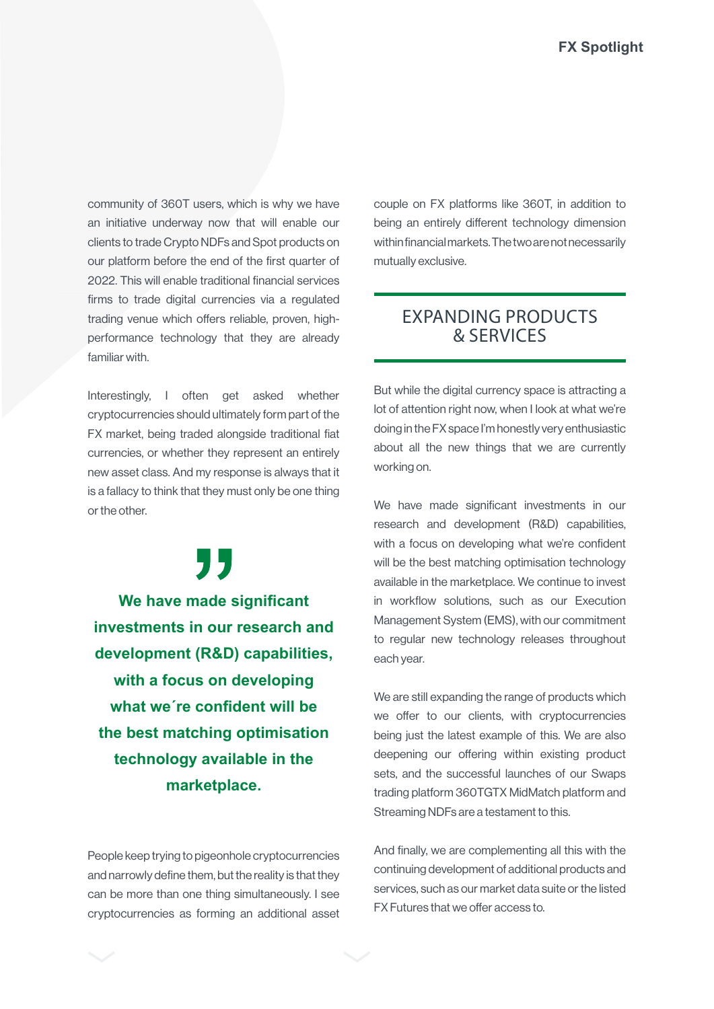community of 360T users, which is why we have an initiative underway now that will enable our clients to trade Crypto NDFs and Spot products on our platform before the end of the first quarter of 2022. This will enable traditional financial services firms to trade digital currencies via a regulated trading venue which offers reliable, proven, highperformance technology that they are already familiar with.

Interestingly, I often get asked whether cryptocurrencies should ultimately form part of the FX market, being traded alongside traditional fiat currencies, or whether they represent an entirely new asset class. And my response is always that it is a fallacy to think that they must only be one thing or the other.

" **We have made significant investments in our research and development (R&D) capabilities, with a focus on developing what we´re confident will be the best matching optimisation technology available in the marketplace.**

People keep trying to pigeonhole cryptocurrencies and narrowly define them, but the reality is that they can be more than one thing simultaneously. I see cryptocurrencies as forming an additional asset couple on FX platforms like 360T, in addition to being an entirely different technology dimension within financial markets. The two are not necessarily mutually exclusive.

## EXPANDING PRODUCTS & SERVICES

But while the digital currency space is attracting a lot of attention right now, when I look at what we're doing in the FX space I'm honestly very enthusiastic about all the new things that we are currently working on.

We have made significant investments in our research and development (R&D) capabilities, with a focus on developing what we're confident will be the best matching optimisation technology available in the marketplace. We continue to invest in workflow solutions, such as our Execution Management System (EMS), with our commitment to regular new technology releases throughout each year.

We are still expanding the range of products which we offer to our clients, with cryptocurrencies being just the latest example of this. We are also deepening our offering within existing product sets, and the successful launches of our Swaps trading platform 360TGTX MidMatch platform and Streaming NDFs are a testament to this.

And finally, we are complementing all this with the continuing development of additional products and services, such as our market data suite or the listed FX Futures that we offer access to.